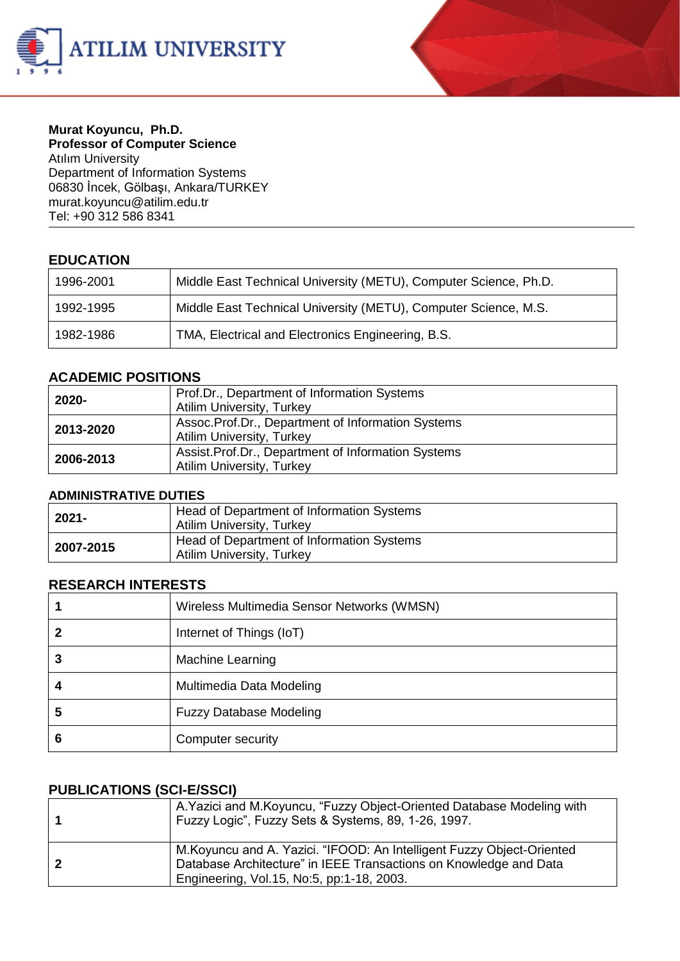



## **Murat Koyuncu, Ph.D. Professor of Computer Science**

Atılım University Department of Information Systems 06830 İncek, Gölbaşı, Ankara/TURKEY murat.koyunc[u@atilim.edu.tr](mailto:ulug@bilkent.edu.tr) Tel: +90 312 586 8341

#### **EDUCATION**

| 1996-2001 | Middle East Technical University (METU), Computer Science, Ph.D. |  |
|-----------|------------------------------------------------------------------|--|
| 1992-1995 | Middle East Technical University (METU), Computer Science, M.S.  |  |
| 1982-1986 | TMA, Electrical and Electronics Engineering, B.S.                |  |

#### **ACADEMIC POSITIONS**

| 2020-     | Prof.Dr., Department of Information Systems<br><b>Atilim University, Turkey</b>          |  |
|-----------|------------------------------------------------------------------------------------------|--|
| 2013-2020 | Assoc. Prof. Dr., Department of Information Systems<br><b>Atilim University, Turkey</b>  |  |
| 2006-2013 | Assist. Prof. Dr., Department of Information Systems<br><b>Atilim University, Turkey</b> |  |

#### **ADMINISTRATIVE DUTIES**

| 2021-     | Head of Department of Information Systems<br><b>Atilim University, Turkey</b> |  |
|-----------|-------------------------------------------------------------------------------|--|
| 2007-2015 | Head of Department of Information Systems<br>Atilim University, Turkey        |  |

#### **RESEARCH INTERESTS**

|   | Wireless Multimedia Sensor Networks (WMSN) |  |
|---|--------------------------------------------|--|
|   | Internet of Things (IoT)                   |  |
|   | <b>Machine Learning</b>                    |  |
|   | Multimedia Data Modeling                   |  |
| 5 | <b>Fuzzy Database Modeling</b>             |  |
| o | Computer security                          |  |

## **PUBLICATIONS (SCI-E/SSCI)**

| A. Yazici and M. Koyuncu, "Fuzzy Object-Oriented Database Modeling with<br>Fuzzy Logic", Fuzzy Sets & Systems, 89, 1-26, 1997.                                                           |
|------------------------------------------------------------------------------------------------------------------------------------------------------------------------------------------|
| M. Koyuncu and A. Yazici. "IFOOD: An Intelligent Fuzzy Object-Oriented<br>Database Architecture" in IEEE Transactions on Knowledge and Data<br>Engineering, Vol.15, No:5, pp:1-18, 2003. |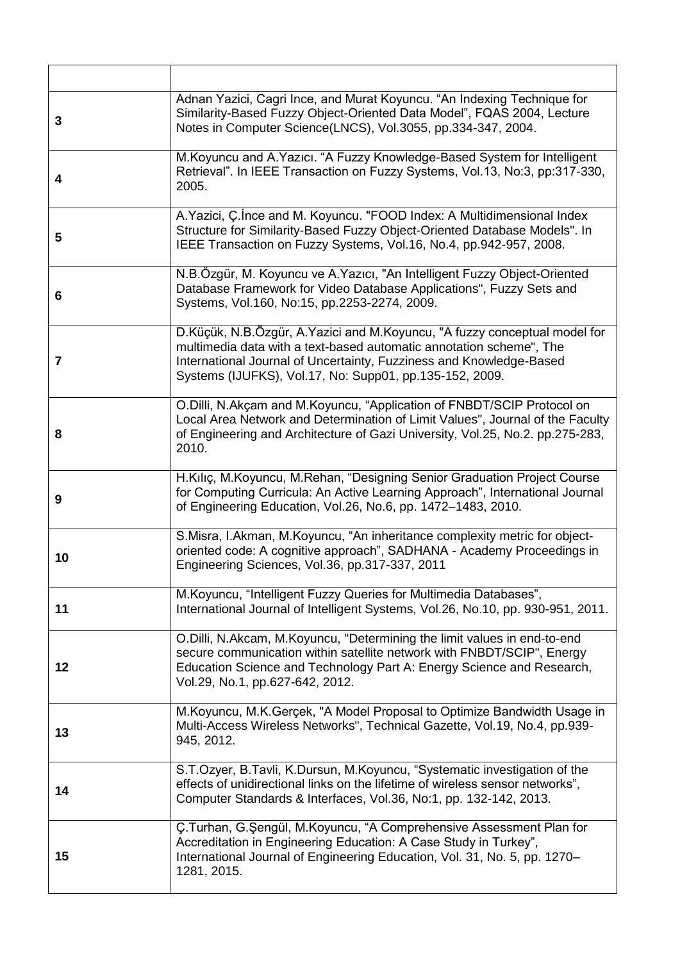| 3  | Adnan Yazici, Cagri Ince, and Murat Koyuncu. "An Indexing Technique for<br>Similarity-Based Fuzzy Object-Oriented Data Model", FQAS 2004, Lecture<br>Notes in Computer Science(LNCS), Vol.3055, pp.334-347, 2004.                                                                     |
|----|---------------------------------------------------------------------------------------------------------------------------------------------------------------------------------------------------------------------------------------------------------------------------------------|
| 4  | M. Koyuncu and A. Yazıcı. "A Fuzzy Knowledge-Based System for Intelligent<br>Retrieval". In IEEE Transaction on Fuzzy Systems, Vol.13, No:3, pp:317-330,<br>2005.                                                                                                                     |
| 5  | A. Yazici, C. Ince and M. Koyuncu. "FOOD Index: A Multidimensional Index<br>Structure for Similarity-Based Fuzzy Object-Oriented Database Models". In<br>IEEE Transaction on Fuzzy Systems, Vol.16, No.4, pp.942-957, 2008.                                                           |
| 6  | N.B.Özgür, M. Koyuncu ve A.Yazıcı, "An Intelligent Fuzzy Object-Oriented<br>Database Framework for Video Database Applications", Fuzzy Sets and<br>Systems, Vol.160, No:15, pp.2253-2274, 2009.                                                                                       |
| 7  | D. Küçük, N.B.Özgür, A. Yazici and M. Koyuncu, "A fuzzy conceptual model for<br>multimedia data with a text-based automatic annotation scheme", The<br>International Journal of Uncertainty, Fuzziness and Knowledge-Based<br>Systems (IJUFKS), Vol.17, No: Supp01, pp.135-152, 2009. |
| 8  | O. Dilli, N. Akçam and M. Koyuncu, "Application of FNBDT/SCIP Protocol on<br>Local Area Network and Determination of Limit Values", Journal of the Faculty<br>of Engineering and Architecture of Gazi University, Vol.25, No.2. pp.275-283,<br>2010.                                  |
| 9  | H.Kılıç, M.Koyuncu, M.Rehan, "Designing Senior Graduation Project Course<br>for Computing Curricula: An Active Learning Approach", International Journal<br>of Engineering Education, Vol.26, No.6, pp. 1472-1483, 2010.                                                              |
| 10 | S.Misra, I.Akman, M.Koyuncu, "An inheritance complexity metric for object-<br>oriented code: A cognitive approach", SADHANA - Academy Proceedings in<br>Engineering Sciences, Vol.36, pp.317-337, 2011                                                                                |
| 11 | M. Koyuncu, "Intelligent Fuzzy Queries for Multimedia Databases",<br>International Journal of Intelligent Systems, Vol.26, No.10, pp. 930-951, 2011.                                                                                                                                  |
| 12 | O. Dilli, N. Akcam, M. Koyuncu, "Determining the limit values in end-to-end<br>secure communication within satellite network with FNBDT/SCIP", Energy<br>Education Science and Technology Part A: Energy Science and Research,<br>Vol.29, No.1, pp.627-642, 2012.                     |
| 13 | M. Koyuncu, M. K. Gerçek, "A Model Proposal to Optimize Bandwidth Usage in<br>Multi-Access Wireless Networks", Technical Gazette, Vol.19, No.4, pp.939-<br>945, 2012.                                                                                                                 |
| 14 | S.T.Ozyer, B.Tavli, K.Dursun, M.Koyuncu, "Systematic investigation of the<br>effects of unidirectional links on the lifetime of wireless sensor networks",<br>Computer Standards & Interfaces, Vol.36, No:1, pp. 132-142, 2013.                                                       |
| 15 | C.Turhan, G.Şengül, M.Koyuncu, "A Comprehensive Assessment Plan for<br>Accreditation in Engineering Education: A Case Study in Turkey",<br>International Journal of Engineering Education, Vol. 31, No. 5, pp. 1270-<br>1281, 2015.                                                   |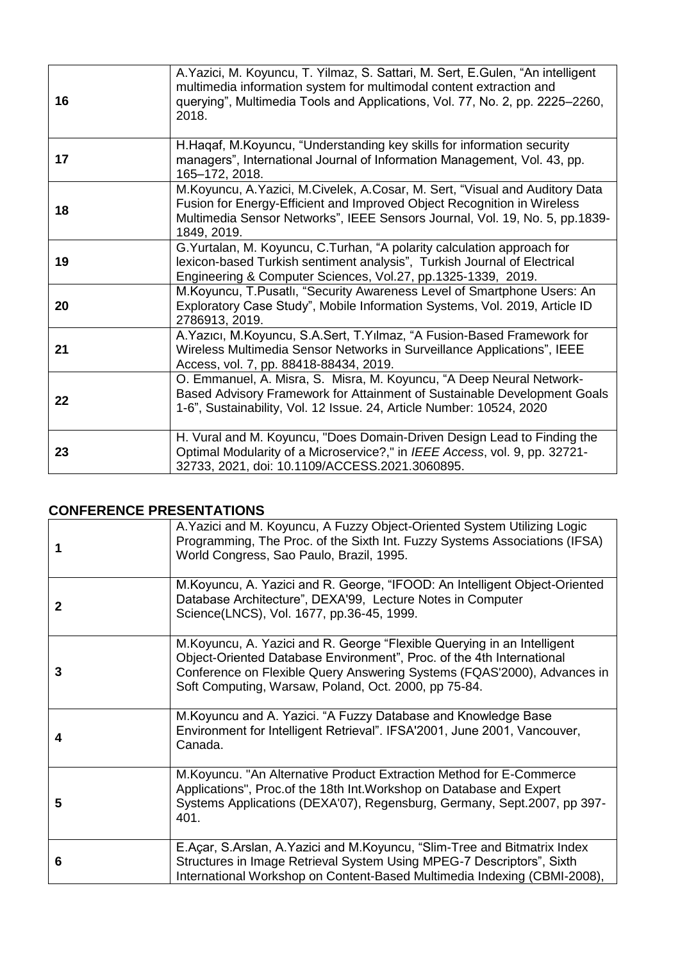| 16 | A. Yazici, M. Koyuncu, T. Yilmaz, S. Sattari, M. Sert, E. Gulen, "An intelligent<br>multimedia information system for multimodal content extraction and<br>querying", Multimedia Tools and Applications, Vol. 77, No. 2, pp. 2225-2260,<br>2018.         |  |
|----|----------------------------------------------------------------------------------------------------------------------------------------------------------------------------------------------------------------------------------------------------------|--|
| 17 | H. Hagaf, M. Koyuncu, "Understanding key skills for information security<br>managers", International Journal of Information Management, Vol. 43, pp.<br>165-172, 2018.                                                                                   |  |
| 18 | M. Koyuncu, A. Yazici, M. Civelek, A. Cosar, M. Sert, "Visual and Auditory Data<br>Fusion for Energy-Efficient and Improved Object Recognition in Wireless<br>Multimedia Sensor Networks", IEEE Sensors Journal, Vol. 19, No. 5, pp.1839-<br>1849, 2019. |  |
| 19 | G. Yurtalan, M. Koyuncu, C. Turhan, "A polarity calculation approach for<br>lexicon-based Turkish sentiment analysis", Turkish Journal of Electrical<br>Engineering & Computer Sciences, Vol.27, pp.1325-1339, 2019.                                     |  |
| 20 | M. Koyuncu, T. Pusatlı, "Security Awareness Level of Smartphone Users: An<br>Exploratory Case Study", Mobile Information Systems, Vol. 2019, Article ID<br>2786913, 2019.                                                                                |  |
| 21 | A. Yazıcı, M. Koyuncu, S.A. Sert, T. Yılmaz, "A Fusion-Based Framework for<br>Wireless Multimedia Sensor Networks in Surveillance Applications", IEEE<br>Access, vol. 7, pp. 88418-88434, 2019.                                                          |  |
| 22 | O. Emmanuel, A. Misra, S. Misra, M. Koyuncu, "A Deep Neural Network-<br>Based Advisory Framework for Attainment of Sustainable Development Goals<br>1-6", Sustainability, Vol. 12 Issue. 24, Article Number: 10524, 2020                                 |  |
| 23 | H. Vural and M. Koyuncu, "Does Domain-Driven Design Lead to Finding the<br>Optimal Modularity of a Microservice?," in IEEE Access, vol. 9, pp. 32721-<br>32733, 2021, doi: 10.1109/ACCESS.2021.3060895.                                                  |  |

# **CONFERENCE PRESENTATIONS**

|              | A. Yazici and M. Koyuncu, A Fuzzy Object-Oriented System Utilizing Logic<br>Programming, The Proc. of the Sixth Int. Fuzzy Systems Associations (IFSA)<br>World Congress, Sao Paulo, Brazil, 1995.                                                                                   |
|--------------|--------------------------------------------------------------------------------------------------------------------------------------------------------------------------------------------------------------------------------------------------------------------------------------|
| $\mathbf{2}$ | M.Koyuncu, A. Yazici and R. George, "IFOOD: An Intelligent Object-Oriented<br>Database Architecture", DEXA'99, Lecture Notes in Computer<br>Science(LNCS), Vol. 1677, pp.36-45, 1999.                                                                                                |
| 3            | M. Koyuncu, A. Yazici and R. George "Flexible Querying in an Intelligent<br>Object-Oriented Database Environment", Proc. of the 4th International<br>Conference on Flexible Query Answering Systems (FQAS'2000), Advances in<br>Soft Computing, Warsaw, Poland, Oct. 2000, pp 75-84. |
| 4            | M. Koyuncu and A. Yazici. "A Fuzzy Database and Knowledge Base<br>Environment for Intelligent Retrieval". IFSA'2001, June 2001, Vancouver,<br>Canada.                                                                                                                                |
| 5            | M. Koyuncu. "An Alternative Product Extraction Method for E-Commerce<br>Applications", Proc. of the 18th Int. Workshop on Database and Expert<br>Systems Applications (DEXA'07), Regensburg, Germany, Sept.2007, pp 397-<br>401.                                                     |
| 6            | E.Açar, S.Arslan, A.Yazici and M.Koyuncu, "Slim-Tree and Bitmatrix Index<br>Structures in Image Retrieval System Using MPEG-7 Descriptors", Sixth<br>International Workshop on Content-Based Multimedia Indexing (CBMI-2008),                                                        |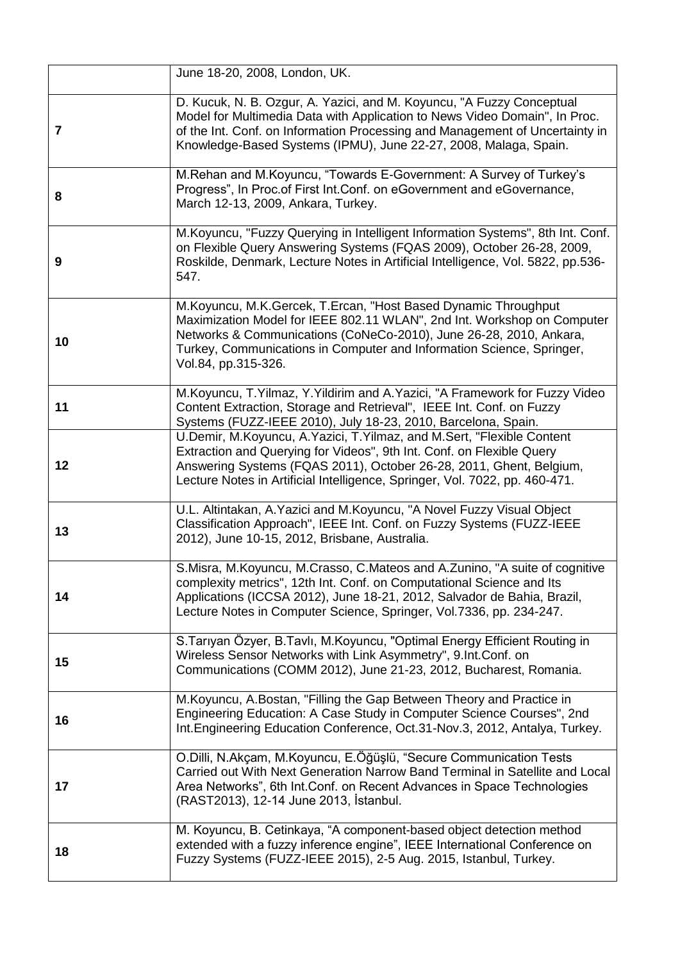|                | June 18-20, 2008, London, UK.                                                                                                                                                                                                                                                                                       |  |
|----------------|---------------------------------------------------------------------------------------------------------------------------------------------------------------------------------------------------------------------------------------------------------------------------------------------------------------------|--|
| $\overline{7}$ | D. Kucuk, N. B. Ozgur, A. Yazici, and M. Koyuncu, "A Fuzzy Conceptual<br>Model for Multimedia Data with Application to News Video Domain", In Proc.<br>of the Int. Conf. on Information Processing and Management of Uncertainty in<br>Knowledge-Based Systems (IPMU), June 22-27, 2008, Malaga, Spain.             |  |
| 8              | M.Rehan and M.Koyuncu, "Towards E-Government: A Survey of Turkey's<br>Progress", In Proc.of First Int.Conf. on eGovernment and eGovernance,<br>March 12-13, 2009, Ankara, Turkey.                                                                                                                                   |  |
| 9              | M.Koyuncu, "Fuzzy Querying in Intelligent Information Systems", 8th Int. Conf.<br>on Flexible Query Answering Systems (FQAS 2009), October 26-28, 2009,<br>Roskilde, Denmark, Lecture Notes in Artificial Intelligence, Vol. 5822, pp.536-<br>547.                                                                  |  |
| 10             | M. Koyuncu, M. K. Gercek, T. Ercan, "Host Based Dynamic Throughput<br>Maximization Model for IEEE 802.11 WLAN", 2nd Int. Workshop on Computer<br>Networks & Communications (CoNeCo-2010), June 26-28, 2010, Ankara,<br>Turkey, Communications in Computer and Information Science, Springer,<br>Vol.84, pp.315-326. |  |
| 11             | M.Koyuncu, T.Yilmaz, Y.Yildirim and A.Yazici, "A Framework for Fuzzy Video<br>Content Extraction, Storage and Retrieval", IEEE Int. Conf. on Fuzzy<br>Systems (FUZZ-IEEE 2010), July 18-23, 2010, Barcelona, Spain.                                                                                                 |  |
| 12             | U.Demir, M.Koyuncu, A.Yazici, T.Yilmaz, and M.Sert, "Flexible Content<br>Extraction and Querying for Videos", 9th Int. Conf. on Flexible Query<br>Answering Systems (FQAS 2011), October 26-28, 2011, Ghent, Belgium,<br>Lecture Notes in Artificial Intelligence, Springer, Vol. 7022, pp. 460-471.                |  |
| 13             | U.L. Altintakan, A. Yazici and M. Koyuncu, "A Novel Fuzzy Visual Object<br>Classification Approach", IEEE Int. Conf. on Fuzzy Systems (FUZZ-IEEE<br>2012), June 10-15, 2012, Brisbane, Australia.                                                                                                                   |  |
| 14             | S.Misra, M.Koyuncu, M.Crasso, C.Mateos and A.Zunino, "A suite of cognitive<br>complexity metrics", 12th Int. Conf. on Computational Science and Its<br>Applications (ICCSA 2012), June 18-21, 2012, Salvador de Bahia, Brazil,<br>Lecture Notes in Computer Science, Springer, Vol.7336, pp. 234-247.               |  |
| 15             | S. Tarıyan Özyer, B. Tavlı, M. Koyuncu, "Optimal Energy Efficient Routing in<br>Wireless Sensor Networks with Link Asymmetry", 9.Int.Conf. on<br>Communications (COMM 2012), June 21-23, 2012, Bucharest, Romania.                                                                                                  |  |
| 16             | M.Koyuncu, A.Bostan, "Filling the Gap Between Theory and Practice in<br>Engineering Education: A Case Study in Computer Science Courses", 2nd<br>Int. Engineering Education Conference, Oct.31-Nov.3, 2012, Antalya, Turkey.                                                                                        |  |
| 17             | O.Dilli, N.Akçam, M.Koyuncu, E.Öğüşlü, "Secure Communication Tests<br>Carried out With Next Generation Narrow Band Terminal in Satellite and Local<br>Area Networks", 6th Int.Conf. on Recent Advances in Space Technologies<br>(RAST2013), 12-14 June 2013, Istanbul.                                              |  |
| 18             | M. Koyuncu, B. Cetinkaya, "A component-based object detection method<br>extended with a fuzzy inference engine", IEEE International Conference on<br>Fuzzy Systems (FUZZ-IEEE 2015), 2-5 Aug. 2015, Istanbul, Turkey.                                                                                               |  |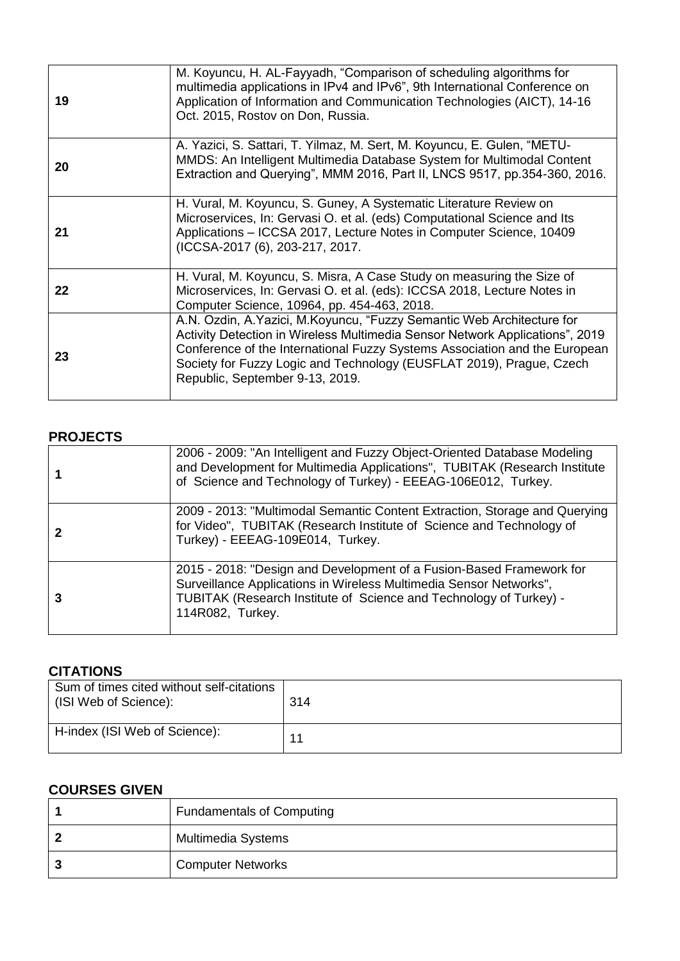| 19 | M. Koyuncu, H. AL-Fayyadh, "Comparison of scheduling algorithms for<br>multimedia applications in IPv4 and IPv6", 9th International Conference on<br>Application of Information and Communication Technologies (AICT), 14-16<br>Oct. 2015, Rostov on Don, Russia.                                                                              |
|----|------------------------------------------------------------------------------------------------------------------------------------------------------------------------------------------------------------------------------------------------------------------------------------------------------------------------------------------------|
| 20 | A. Yazici, S. Sattari, T. Yilmaz, M. Sert, M. Koyuncu, E. Gulen, "METU-<br>MMDS: An Intelligent Multimedia Database System for Multimodal Content<br>Extraction and Querying", MMM 2016, Part II, LNCS 9517, pp.354-360, 2016.                                                                                                                 |
| 21 | H. Vural, M. Koyuncu, S. Guney, A Systematic Literature Review on<br>Microservices, In: Gervasi O. et al. (eds) Computational Science and Its<br>Applications - ICCSA 2017, Lecture Notes in Computer Science, 10409<br>(ICCSA-2017 (6), 203-217, 2017.                                                                                        |
| 22 | H. Vural, M. Koyuncu, S. Misra, A Case Study on measuring the Size of<br>Microservices, In: Gervasi O. et al. (eds): ICCSA 2018, Lecture Notes in<br>Computer Science, 10964, pp. 454-463, 2018.                                                                                                                                               |
| 23 | A.N. Ozdin, A.Yazici, M.Koyuncu, "Fuzzy Semantic Web Architecture for<br>Activity Detection in Wireless Multimedia Sensor Network Applications", 2019<br>Conference of the International Fuzzy Systems Association and the European<br>Society for Fuzzy Logic and Technology (EUSFLAT 2019), Prague, Czech<br>Republic, September 9-13, 2019. |

## **PROJECTS**

| 2006 - 2009: "An Intelligent and Fuzzy Object-Oriented Database Modeling<br>and Development for Multimedia Applications", TUBITAK (Research Institute<br>of Science and Technology of Turkey) - EEEAG-106E012, Turkey.               |  |
|--------------------------------------------------------------------------------------------------------------------------------------------------------------------------------------------------------------------------------------|--|
| 2009 - 2013: "Multimodal Semantic Content Extraction, Storage and Querying<br>for Video", TUBITAK (Research Institute of Science and Technology of<br>Turkey) - EEEAG-109E014, Turkey.                                               |  |
| 2015 - 2018: "Design and Development of a Fusion-Based Framework for<br>Surveillance Applications in Wireless Multimedia Sensor Networks",<br>TUBITAK (Research Institute of Science and Technology of Turkey) -<br>114R082, Turkey. |  |

# **CITATIONS**

| Sum of times cited without self-citations<br>(ISI Web of Science): | 314 |
|--------------------------------------------------------------------|-----|
| H-index (ISI Web of Science):                                      | 11  |

# **COURSES GIVEN**

| <b>Fundamentals of Computing</b> |
|----------------------------------|
| Multimedia Systems               |
| <b>Computer Networks</b>         |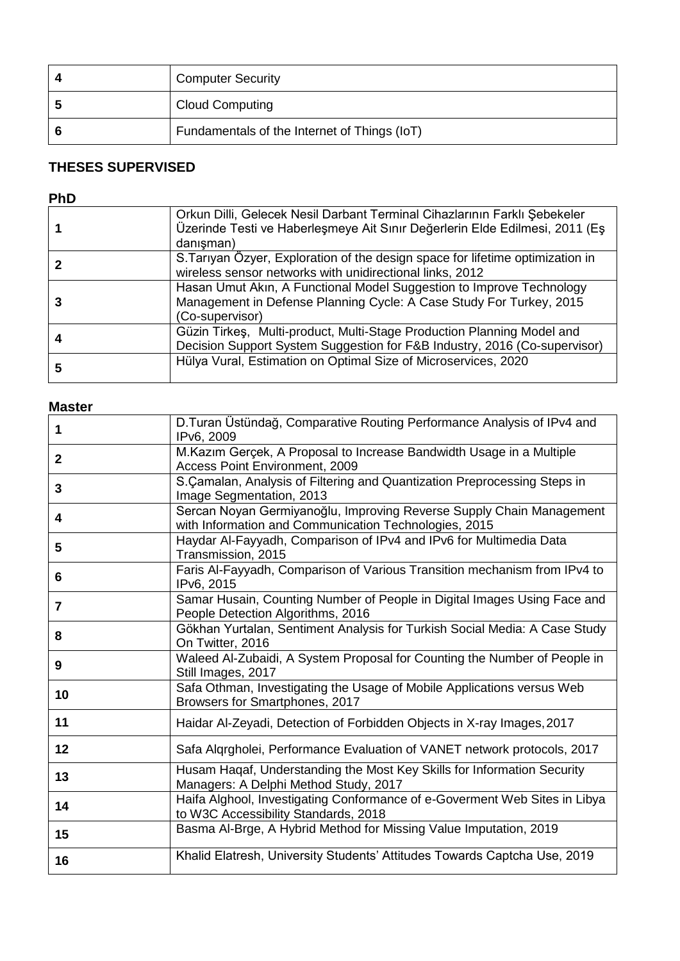| <b>Computer Security</b>                     |
|----------------------------------------------|
| <b>Cloud Computing</b>                       |
| Fundamentals of the Internet of Things (IoT) |

# **THESES SUPERVISED**

## **PhD**

|   | Orkun Dilli, Gelecek Nesil Darbant Terminal Cihazlarının Farklı Şebekeler<br>Üzerinde Testi ve Haberleşmeye Ait Sınır Değerlerin Elde Edilmesi, 2011 (Eş<br>danışman) |
|---|-----------------------------------------------------------------------------------------------------------------------------------------------------------------------|
|   | S. Tariyan Özyer, Exploration of the design space for lifetime optimization in<br>wireless sensor networks with unidirectional links, 2012                            |
|   | Hasan Umut Akin, A Functional Model Suggestion to Improve Technology<br>Management in Defense Planning Cycle: A Case Study For Turkey, 2015<br>(Co-supervisor)        |
|   | Güzin Tirkeş, Multi-product, Multi-Stage Production Planning Model and<br>Decision Support System Suggestion for F&B Industry, 2016 (Co-supervisor)                   |
| b | Hülya Vural, Estimation on Optimal Size of Microservices, 2020                                                                                                        |

## **Master**

| 1              | D. Turan Üstündağ, Comparative Routing Performance Analysis of IPv4 and<br>IPv6, 2009                                         |
|----------------|-------------------------------------------------------------------------------------------------------------------------------|
| $\mathbf{2}$   | M.Kazım Gerçek, A Proposal to Increase Bandwidth Usage in a Multiple<br><b>Access Point Environment, 2009</b>                 |
| 3              | S. Çamalan, Analysis of Filtering and Quantization Preprocessing Steps in<br>Image Segmentation, 2013                         |
| 4              | Sercan Noyan Germiyanoğlu, Improving Reverse Supply Chain Management<br>with Information and Communication Technologies, 2015 |
| 5              | Haydar Al-Fayyadh, Comparison of IPv4 and IPv6 for Multimedia Data<br>Transmission, 2015                                      |
| 6              | Faris Al-Fayyadh, Comparison of Various Transition mechanism from IPv4 to<br>IPv6, 2015                                       |
| $\overline{7}$ | Samar Husain, Counting Number of People in Digital Images Using Face and<br>People Detection Algorithms, 2016                 |
| 8              | Gökhan Yurtalan, Sentiment Analysis for Turkish Social Media: A Case Study<br>On Twitter, 2016                                |
| 9              | Waleed Al-Zubaidi, A System Proposal for Counting the Number of People in<br>Still Images, 2017                               |
| 10             | Safa Othman, Investigating the Usage of Mobile Applications versus Web<br>Browsers for Smartphones, 2017                      |
| 11             | Haidar Al-Zeyadi, Detection of Forbidden Objects in X-ray Images, 2017                                                        |
| 12             | Safa Algrgholei, Performance Evaluation of VANET network protocols, 2017                                                      |
| 13             | Husam Haqaf, Understanding the Most Key Skills for Information Security<br>Managers: A Delphi Method Study, 2017              |
| 14             | Haifa Alghool, Investigating Conformance of e-Goverment Web Sites in Libya<br>to W3C Accessibility Standards, 2018            |
| 15             | Basma Al-Brge, A Hybrid Method for Missing Value Imputation, 2019                                                             |
| 16             | Khalid Elatresh, University Students' Attitudes Towards Captcha Use, 2019                                                     |